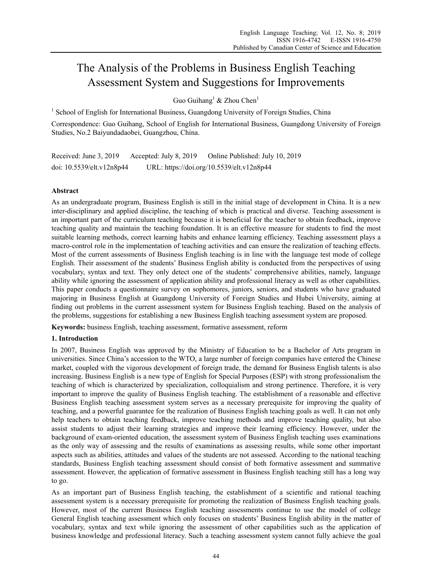# The Analysis of the Problems in Business English Teaching Assessment System and Suggestions for Improvements

Guo Guihang<sup>1</sup> & Zhou Chen<sup>1</sup>

<sup>1</sup> School of English for International Business, Guangdong University of Foreign Studies, China

Correspondence: Guo Guihang, School of English for International Business, Guangdong University of Foreign Studies, No.2 Baiyundadaobei, Guangzhou, China.

Received: June 3, 2019 Accepted: July 8, 2019 Online Published: July 10, 2019 doi: 10.5539/elt.v12n8p44 URL: https://doi.org/10.5539/elt.v12n8p44

# **Abstract**

As an undergraduate program, Business English is still in the initial stage of development in China. It is a new inter-disciplinary and applied discipline, the teaching of which is practical and diverse. Teaching assessment is an important part of the curriculum teaching because it is beneficial for the teacher to obtain feedback, improve teaching quality and maintain the teaching foundation. It is an effective measure for students to find the most suitable learning methods, correct learning habits and enhance learning efficiency. Teaching assessment plays a macro-control role in the implementation of teaching activities and can ensure the realization of teaching effects. Most of the current assessments of Business English teaching is in line with the language test mode of college English. Their assessment of the students' Business English ability is conducted from the perspectives of using vocabulary, syntax and text. They only detect one of the students' comprehensive abilities, namely, language ability while ignoring the assessment of application ability and professional literacy as well as other capabilities. This paper conducts a questionnaire survey on sophomores, juniors, seniors, and students who have graduated majoring in Business English at Guangdong University of Foreign Studies and Hubei University, aiming at finding out problems in the current assessment system for Business English teaching. Based on the analysis of the problems, suggestions for establishing a new Business English teaching assessment system are proposed.

**Keywords:** business English, teaching assessment, formative assessment, reform

# **1. Introduction**

In 2007, Business English was approved by the Ministry of Education to be a Bachelor of Arts program in universities. Since China's accession to the WTO, a large number of foreign companies have entered the Chinese market, coupled with the vigorous development of foreign trade, the demand for Business English talents is also increasing. Business English is a new type of English for Special Purposes (ESP) with strong professionalism the teaching of which is characterized by specialization, colloquialism and strong pertinence. Therefore, it is very important to improve the quality of Business English teaching. The establishment of a reasonable and effective Business English teaching assessment system serves as a necessary prerequisite for improving the quality of teaching, and a powerful guarantee for the realization of Business English teaching goals as well. It can not only help teachers to obtain teaching feedback, improve teaching methods and improve teaching quality, but also assist students to adjust their learning strategies and improve their learning efficiency. However, under the background of exam-oriented education, the assessment system of Business English teaching uses examinations as the only way of assessing and the results of examinations as assessing results, while some other important aspects such as abilities, attitudes and values of the students are not assessed. According to the national teaching standards, Business English teaching assessment should consist of both formative assessment and summative assessment. However, the application of formative assessment in Business English teaching still has a long way to go.

As an important part of Business English teaching, the establishment of a scientific and rational teaching assessment system is a necessary prerequisite for promoting the realization of Business English teaching goals. However, most of the current Business English teaching assessments continue to use the model of college General English teaching assessment which only focuses on students' Business English ability in the matter of vocabulary, syntax and text while ignoring the assessment of other capabilities such as the application of business knowledge and professional literacy. Such a teaching assessment system cannot fully achieve the goal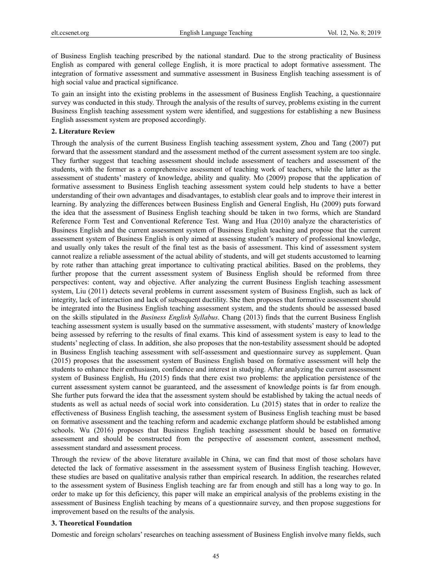of Business English teaching prescribed by the national standard. Due to the strong practicality of Business English as compared with general college English, it is more practical to adopt formative assessment. The integration of formative assessment and summative assessment in Business English teaching assessment is of high social value and practical significance.

To gain an insight into the existing problems in the assessment of Business English Teaching, a questionnaire survey was conducted in this study. Through the analysis of the results of survey, problems existing in the current Business English teaching assessment system were identified, and suggestions for establishing a new Business English assessment system are proposed accordingly.

## **2. Literature Review**

Through the analysis of the current Business English teaching assessment system, Zhou and Tang (2007) put forward that the assessment standard and the assessment method of the current assessment system are too single. They further suggest that teaching assessment should include assessment of teachers and assessment of the students, with the former as a comprehensive assessment of teaching work of teachers, while the latter as the assessment of students' mastery of knowledge, ability and quality. Mo (2009) propose that the application of formative assessment to Business English teaching assessment system could help students to have a better understanding of their own advantages and disadvantages, to establish clear goals and to improve their interest in learning. By analyzing the differences between Business English and General English, Hu (2009) puts forward the idea that the assessment of Business English teaching should be taken in two forms, which are Standard Reference Form Test and Conventional Reference Test. Wang and Hua (2010) analyze the characteristics of Business English and the current assessment system of Business English teaching and propose that the current assessment system of Business English is only aimed at assessing student's mastery of professional knowledge, and usually only takes the result of the final test as the basis of assessment. This kind of assessment system cannot realize a reliable assessment of the actual ability of students, and will get students accustomed to learning by rote rather than attaching great importance to cultivating practical abilities. Based on the problems, they further propose that the current assessment system of Business English should be reformed from three perspectives: content, way and objective. After analyzing the current Business English teaching assessment system, Liu (2011) detects several problems in current assessment system of Business English, such as lack of integrity, lack of interaction and lack of subsequent ductility. She then proposes that formative assessment should be integrated into the Business English teaching assessment system, and the students should be assessed based on the skills stipulated in the *Business English Syllabus*. Chang (2013) finds that the current Business English teaching assessment system is usually based on the summative assessment, with students' mastery of knowledge being assessed by referring to the results of final exams. This kind of assessment system is easy to lead to the students' neglecting of class. In addition, she also proposes that the non-testability assessment should be adopted in Business English teaching assessment with self-assessment and questionnaire survey as supplement. Quan (2015) proposes that the assessment system of Business English based on formative assessment will help the students to enhance their enthusiasm, confidence and interest in studying. After analyzing the current assessment system of Business English, Hu (2015) finds that there exist two problems: the application persistence of the current assessment system cannot be guaranteed, and the assessment of knowledge points is far from enough. She further puts forward the idea that the assessment system should be established by taking the actual needs of students as well as actual needs of social work into consideration. Lu (2015) states that in order to realize the effectiveness of Business English teaching, the assessment system of Business English teaching must be based on formative assessment and the teaching reform and academic exchange platform should be established among schools. Wu (2016) proposes that Business English teaching assessment should be based on formative assessment and should be constructed from the perspective of assessment content, assessment method, assessment standard and assessment process.

Through the review of the above literature available in China, we can find that most of those scholars have detected the lack of formative assessment in the assessment system of Business English teaching. However, these studies are based on qualitative analysis rather than empirical research. In addition, the researches related to the assessment system of Business English teaching are far from enough and still has a long way to go. In order to make up for this deficiency, this paper will make an empirical analysis of the problems existing in the assessment of Business English teaching by means of a questionnaire survey, and then propose suggestions for improvement based on the results of the analysis.

## **3. Theoretical Foundation**

Domestic and foreign scholars' researches on teaching assessment of Business English involve many fields, such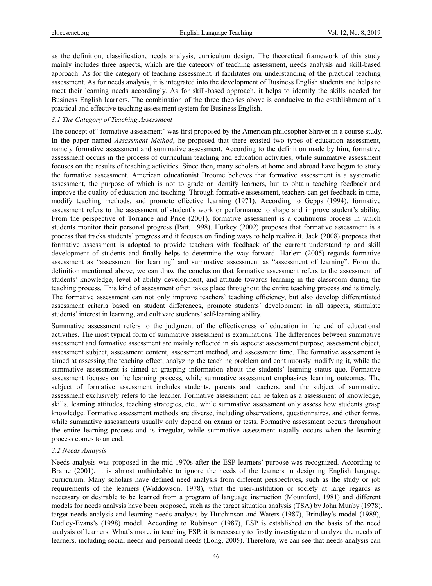as the definition, classification, needs analysis, curriculum design. The theoretical framework of this study mainly includes three aspects, which are the category of teaching assessment, needs analysis and skill-based approach. As for the category of teaching assessment, it facilitates our understanding of the practical teaching assessment. As for needs analysis, it is integrated into the development of Business English students and helps to meet their learning needs accordingly. As for skill-based approach, it helps to identify the skills needed for Business English learners. The combination of the three theories above is conducive to the establishment of a practical and effective teaching assessment system for Business English.

### *3.1 The Category of Teaching Assessment*

The concept of "formative assessment" was first proposed by the American philosopher Shriver in a course study. In the paper named *Assessment Method*, he proposed that there existed two types of education assessment, namely formative assessment and summative assessment. According to the definition made by him, formative assessment occurs in the process of curriculum teaching and education activities, while summative assessment focuses on the results of teaching activities. Since then, many scholars at home and abroad have begun to study the formative assessment. American educationist Broome believes that formative assessment is a systematic assessment, the purpose of which is not to grade or identify learners, but to obtain teaching feedback and improve the quality of education and teaching. Through formative assessment, teachers can get feedback in time, modify teaching methods, and promote effective learning (1971). According to Gepps (1994), formative assessment refers to the assessment of student's work or performance to shape and improve student's ability. From the perspective of Torrance and Price (2001), formative assessment is a continuous process in which students monitor their personal progress (Part, 1998). Hurkey (2002) proposes that formative assessment is a process that tracks students' progress and it focuses on finding ways to help realize it. Jack (2008) proposes that formative assessment is adopted to provide teachers with feedback of the current understanding and skill development of students and finally helps to determine the way forward. Harlem (2005) regards formative assessment as "assessment for learning" and summative assessment as "assessment of learning". From the definition mentioned above, we can draw the conclusion that formative assessment refers to the assessment of students' knowledge, level of ability development, and attitude towards learning in the classroom during the teaching process. This kind of assessment often takes place throughout the entire teaching process and is timely. The formative assessment can not only improve teachers' teaching efficiency, but also develop differentiated assessment criteria based on student differences, promote students' development in all aspects, stimulate students' interest in learning, and cultivate students' self-learning ability.

Summative assessment refers to the judgment of the effectiveness of education in the end of educational activities. The most typical form of summative assessment is examinations. The differences between summative assessment and formative assessment are mainly reflected in six aspects: assessment purpose, assessment object, assessment subject, assessment content, assessment method, and assessment time. The formative assessment is aimed at assessing the teaching effect, analyzing the teaching problem and continuously modifying it, while the summative assessment is aimed at grasping information about the students' learning status quo. Formative assessment focuses on the learning process, while summative assessment emphasizes learning outcomes. The subject of formative assessment includes students, parents and teachers, and the subject of summative assessment exclusively refers to the teacher. Formative assessment can be taken as a assessment of knowledge, skills, learning attitudes, teaching strategies, etc., while summative assessment only assess how students grasp knowledge. Formative assessment methods are diverse, including observations, questionnaires, and other forms, while summative assessments usually only depend on exams or tests. Formative assessment occurs throughout the entire learning process and is irregular, while summative assessment usually occurs when the learning process comes to an end.

## *3.2 Needs Analysis*

Needs analysis was proposed in the mid-1970s after the ESP learners' purpose was recognized. According to Braine (2001), it is almost unthinkable to ignore the needs of the learners in designing English language curriculum. Many scholars have defined need analysis from different perspectives, such as the study or job requirements of the learners (Widdowson, 1978), what the user-institution or society at large regards as necessary or desirable to be learned from a program of language instruction (Mountford, 1981) and different models for needs analysis have been proposed, such as the target situation analysis (TSA) by John Munby (1978), target needs analysis and learning needs analysis by Hutchinson and Waters (1987), Brindley's model (1989), Dudley-Evans's (1998) model. According to Robinson (1987), ESP is established on the basis of the need analysis of learners. What's more, in teaching ESP, it is necessary to firstly investigate and analyze the needs of learners, including social needs and personal needs (Long, 2005). Therefore, we can see that needs analysis can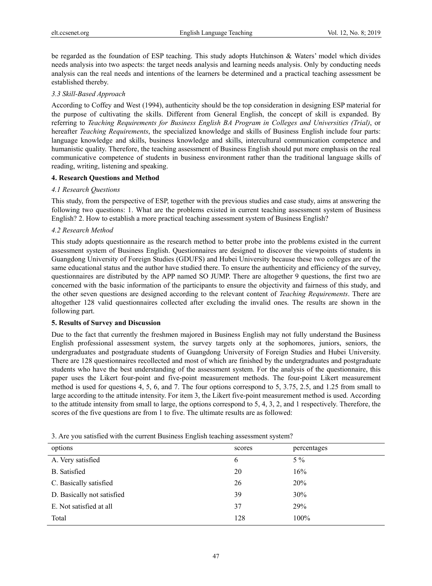be regarded as the foundation of ESP teaching. This study adopts Hutchinson & Waters' model which divides needs analysis into two aspects: the target needs analysis and learning needs analysis. Only by conducting needs analysis can the real needs and intentions of the learners be determined and a practical teaching assessment be established thereby.

## *3.3 Skill-Based Approach*

According to Coffey and West (1994), authenticity should be the top consideration in designing ESP material for the purpose of cultivating the skills. Different from General English, the concept of skill is expanded. By referring to *Teaching Requirements for Business English BA Program in Colleges and Universities (Trial)*, or hereafter *Teaching Requirements*, the specialized knowledge and skills of Business English include four parts: language knowledge and skills, business knowledge and skills, intercultural communication competence and humanistic quality. Therefore, the teaching assessment of Business English should put more emphasis on the real communicative competence of students in business environment rather than the traditional language skills of reading, writing, listening and speaking.

## **4. Research Questions and Method**

## *4.1 Research Questions*

This study, from the perspective of ESP, together with the previous studies and case study, aims at answering the following two questions: 1. What are the problems existed in current teaching assessment system of Business English? 2. How to establish a more practical teaching assessment system of Business English?

## *4.2 Research Method*

This study adopts questionnaire as the research method to better probe into the problems existed in the current assessment system of Business English. Questionnaires are designed to discover the viewpoints of students in Guangdong University of Foreign Studies (GDUFS) and Hubei University because these two colleges are of the same educational status and the author have studied there. To ensure the authenticity and efficiency of the survey, questionnaires are distributed by the APP named SO JUMP. There are altogether 9 questions, the first two are concerned with the basic information of the participants to ensure the objectivity and fairness of this study, and the other seven questions are designed according to the relevant content of *Teaching Requirements*. There are altogether 128 valid questionnaires collected after excluding the invalid ones. The results are shown in the following part.

## **5. Results of Survey and Discussion**

Due to the fact that currently the freshmen majored in Business English may not fully understand the Business English professional assessment system, the survey targets only at the sophomores, juniors, seniors, the undergraduates and postgraduate students of Guangdong University of Foreign Studies and Hubei University. There are 128 questionnaires recollected and most of which are finished by the undergraduates and postgraduate students who have the best understanding of the assessment system. For the analysis of the questionnaire, this paper uses the Likert four-point and five-point measurement methods. The four-point Likert measurement method is used for questions 4, 5, 6, and 7. The four options correspond to 5, 3.75, 2.5, and 1.25 from small to large according to the attitude intensity. For item 3, the Likert five-point measurement method is used. According to the attitude intensity from small to large, the options correspond to 5, 4, 3, 2, and 1 respectively. Therefore, the scores of the five questions are from 1 to five. The ultimate results are as followed:

| options                    | scores | percentages |
|----------------------------|--------|-------------|
| A. Very satisfied          | 6      | $5\%$       |
| B. Satisfied               | 20     | 16%         |
| C. Basically satisfied     | 26     | <b>20%</b>  |
| D. Basically not satisfied | 39     | 30%         |
| E. Not satisfied at all    | 37     | 29%         |
| Total                      | 128    | 100%        |
|                            |        |             |

3. Are you satisfied with the current Business English teaching assessment system?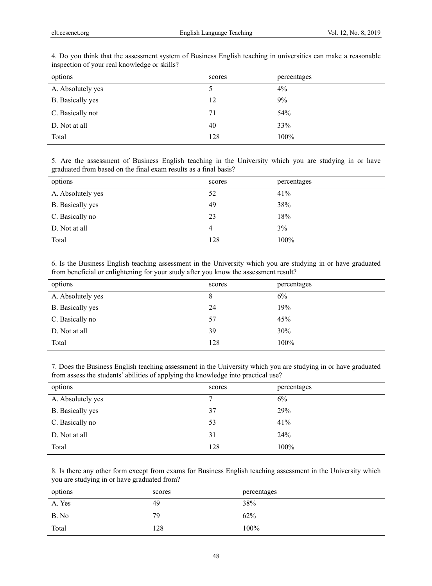| options           | scores | percentages |
|-------------------|--------|-------------|
| A. Absolutely yes |        | $4\%$       |
| B. Basically yes  | 12     | 9%          |
| C. Basically not  | 71     | 54%         |
| D. Not at all     | 40     | 33%         |
| Total             | 128    | 100%        |
|                   |        |             |

4. Do you think that the assessment system of Business English teaching in universities can make a reasonable inspection of your real knowledge or skills?

5. Are the assessment of Business English teaching in the University which you are studying in or have graduated from based on the final exam results as a final basis?

| options           | scores | percentages |
|-------------------|--------|-------------|
| A. Absolutely yes | 52     | 41%         |
| B. Basically yes  | 49     | 38%         |
| C. Basically no   | 23     | 18%         |
| D. Not at all     | 4      | 3%          |
| Total             | 128    | 100%        |

6. Is the Business English teaching assessment in the University which you are studying in or have graduated from beneficial or enlightening for your study after you know the assessment result?

| options                 | scores | percentages |
|-------------------------|--------|-------------|
| A. Absolutely yes       | 8      | 6%          |
| <b>B.</b> Basically yes | 24     | 19%         |
| C. Basically no         | 57     | 45%         |
| D. Not at all           | 39     | 30%         |
| Total                   | 128    | 100%        |

7. Does the Business English teaching assessment in the University which you are studying in or have graduated from assess the students' abilities of applying the knowledge into practical use?

| options           | scores | percentages |
|-------------------|--------|-------------|
| A. Absolutely yes | 7      | 6%          |
| B. Basically yes  | 37     | 29%         |
| C. Basically no   | 53     | 41%         |
| D. Not at all     | 31     | 24%         |
| Total             | 128    | 100%        |

8. Is there any other form except from exams for Business English teaching assessment in the University which you are studying in or have graduated from?

| options | scores | percentages |
|---------|--------|-------------|
| A. Yes  | 49     | 38%         |
| B. No   | 79     | 62%         |
| Total   | 128    | 100%        |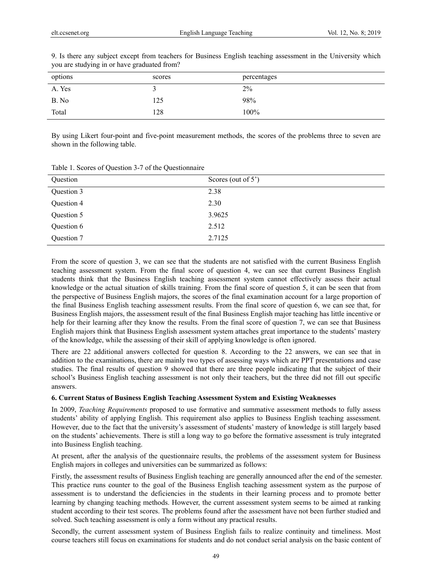| $\overline{\phantom{a}}$<br><u>.</u><br>ັ |        |             |
|-------------------------------------------|--------|-------------|
| options                                   | scores | percentages |
| A. Yes                                    |        | 2%          |
| B. No                                     | 125    | 98%         |
| Total                                     | 128    | 100%        |

9. Is there any subject except from teachers for Business English teaching assessment in the University which you are studying in or have graduated from?

By using Likert four-point and five-point measurement methods, the scores of the problems three to seven are shown in the following table.

| Question   | Scores (out of 5') |
|------------|--------------------|
| Question 3 | 2.38               |
| Question 4 | 2.30               |
| Question 5 | 3.9625             |
| Question 6 | 2.512              |
| Question 7 | 2.7125             |

Table 1. Scores of Question 3-7 of the Questionnaire

From the score of question 3, we can see that the students are not satisfied with the current Business English teaching assessment system. From the final score of question 4, we can see that current Business English students think that the Business English teaching assessment system cannot effectively assess their actual knowledge or the actual situation of skills training. From the final score of question 5, it can be seen that from the perspective of Business English majors, the scores of the final examination account for a large proportion of the final Business English teaching assessment results. From the final score of question 6, we can see that, for Business English majors, the assessment result of the final Business English major teaching has little incentive or help for their learning after they know the results. From the final score of question 7, we can see that Business English majors think that Business English assessment system attaches great importance to the students' mastery of the knowledge, while the assessing of their skill of applying knowledge is often ignored.

There are 22 additional answers collected for question 8. According to the 22 answers, we can see that in addition to the examinations, there are mainly two types of assessing ways which are PPT presentations and case studies. The final results of question 9 showed that there are three people indicating that the subject of their school's Business English teaching assessment is not only their teachers, but the three did not fill out specific answers.

# **6. Current Status of Business English Teaching Assessment System and Existing Weaknesses**

In 2009, *Teaching Requirements* proposed to use formative and summative assessment methods to fully assess students' ability of applying English. This requirement also applies to Business English teaching assessment. However, due to the fact that the university's assessment of students' mastery of knowledge is still largely based on the students' achievements. There is still a long way to go before the formative assessment is truly integrated into Business English teaching.

At present, after the analysis of the questionnaire results, the problems of the assessment system for Business English majors in colleges and universities can be summarized as follows:

Firstly, the assessment results of Business English teaching are generally announced after the end of the semester. This practice runs counter to the goal of the Business English teaching assessment system as the purpose of assessment is to understand the deficiencies in the students in their learning process and to promote better learning by changing teaching methods. However, the current assessment system seems to be aimed at ranking student according to their test scores. The problems found after the assessment have not been further studied and solved. Such teaching assessment is only a form without any practical results.

Secondly, the current assessment system of Business English fails to realize continuity and timeliness. Most course teachers still focus on examinations for students and do not conduct serial analysis on the basic content of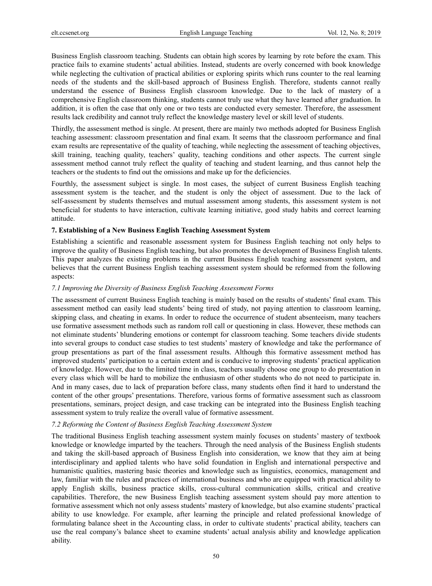Business English classroom teaching. Students can obtain high scores by learning by rote before the exam. This practice fails to examine students' actual abilities. Instead, students are overly concerned with book knowledge while neglecting the cultivation of practical abilities or exploring spirits which runs counter to the real learning needs of the students and the skill-based approach of Business English. Therefore, students cannot really understand the essence of Business English classroom knowledge. Due to the lack of mastery of a comprehensive English classroom thinking, students cannot truly use what they have learned after graduation. In addition, it is often the case that only one or two tests are conducted every semester. Therefore, the assessment results lack credibility and cannot truly reflect the knowledge mastery level or skill level of students.

Thirdly, the assessment method is single. At present, there are mainly two methods adopted for Business English teaching assessment: classroom presentation and final exam. It seems that the classroom performance and final exam results are representative of the quality of teaching, while neglecting the assessment of teaching objectives, skill training, teaching quality, teachers' quality, teaching conditions and other aspects. The current single assessment method cannot truly reflect the quality of teaching and student learning, and thus cannot help the teachers or the students to find out the omissions and make up for the deficiencies.

Fourthly, the assessment subject is single. In most cases, the subject of current Business English teaching assessment system is the teacher, and the student is only the object of assessment. Due to the lack of self-assessment by students themselves and mutual assessment among students, this assessment system is not beneficial for students to have interaction, cultivate learning initiative, good study habits and correct learning attitude.

## **7. Establishing of a New Business English Teaching Assessment System**

Establishing a scientific and reasonable assessment system for Business English teaching not only helps to improve the quality of Business English teaching, but also promotes the development of Business English talents. This paper analyzes the existing problems in the current Business English teaching assessment system, and believes that the current Business English teaching assessment system should be reformed from the following aspects:

## *7.1 Improving the Diversity of Business English Teaching Assessment Forms*

The assessment of current Business English teaching is mainly based on the results of students' final exam. This assessment method can easily lead students' being tired of study, not paying attention to classroom learning, skipping class, and cheating in exams. In order to reduce the occurrence of student absenteeism, many teachers use formative assessment methods such as random roll call or questioning in class. However, these methods can not eliminate students' blundering emotions or contempt for classroom teaching. Some teachers divide students into several groups to conduct case studies to test students' mastery of knowledge and take the performance of group presentations as part of the final assessment results. Although this formative assessment method has improved students' participation to a certain extent and is conducive to improving students' practical application of knowledge. However, due to the limited time in class, teachers usually choose one group to do presentation in every class which will be hard to mobilize the enthusiasm of other students who do not need to participate in. And in many cases, due to lack of preparation before class, many students often find it hard to understand the content of the other groups' presentations. Therefore, various forms of formative assessment such as classroom presentations, seminars, project design, and case tracking can be integrated into the Business English teaching assessment system to truly realize the overall value of formative assessment.

### *7.2 Reforming the Content of Business English Teaching Assessment System*

The traditional Business English teaching assessment system mainly focuses on students' mastery of textbook knowledge or knowledge imparted by the teachers. Through the need analysis of the Business English students and taking the skill-based approach of Business English into consideration, we know that they aim at being interdisciplinary and applied talents who have solid foundation in English and international perspective and humanistic qualities, mastering basic theories and knowledge such as linguistics, economics, management and law, familiar with the rules and practices of international business and who are equipped with practical ability to apply English skills, business practice skills, cross-cultural communication skills, critical and creative capabilities. Therefore, the new Business English teaching assessment system should pay more attention to formative assessment which not only assess students' mastery of knowledge, but also examine students' practical ability to use knowledge. For example, after learning the principle and related professional knowledge of formulating balance sheet in the Accounting class, in order to cultivate students' practical ability, teachers can use the real company's balance sheet to examine students' actual analysis ability and knowledge application ability.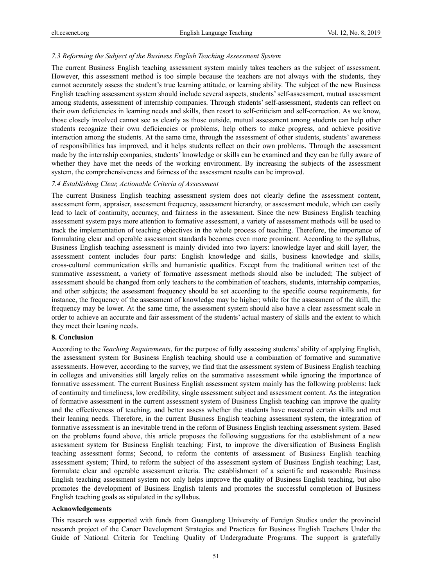## *7.3 Reforming the Subject of the Business English Teaching Assessment System*

The current Business English teaching assessment system mainly takes teachers as the subject of assessment. However, this assessment method is too simple because the teachers are not always with the students, they cannot accurately assess the student's true learning attitude, or learning ability. The subject of the new Business English teaching assessment system should include several aspects, students' self-assessment, mutual assessment among students, assessment of internship companies. Through students' self-assessment, students can reflect on their own deficiencies in learning needs and skills, then resort to self-criticism and self-correction. As we know, those closely involved cannot see as clearly as those outside, mutual assessment among students can help other students recognize their own deficiencies or problems, help others to make progress, and achieve positive interaction among the students. At the same time, through the assessment of other students, students' awareness of responsibilities has improved, and it helps students reflect on their own problems. Through the assessment made by the internship companies, students' knowledge or skills can be examined and they can be fully aware of whether they have met the needs of the working environment. By increasing the subjects of the assessment system, the comprehensiveness and fairness of the assessment results can be improved.

## *7.4 Establishing Clear, Actionable Criteria of Assessment*

The current Business English teaching assessment system does not clearly define the assessment content, assessment form, appraiser, assessment frequency, assessment hierarchy, or assessment module, which can easily lead to lack of continuity, accuracy, and fairness in the assessment. Since the new Business English teaching assessment system pays more attention to formative assessment, a variety of assessment methods will be used to track the implementation of teaching objectives in the whole process of teaching. Therefore, the importance of formulating clear and operable assessment standards becomes even more prominent. According to the syllabus, Business English teaching assessment is mainly divided into two layers: knowledge layer and skill layer; the assessment content includes four parts: English knowledge and skills, business knowledge and skills, cross-cultural communication skills and humanistic qualities. Except from the traditional written test of the summative assessment, a variety of formative assessment methods should also be included; The subject of assessment should be changed from only teachers to the combination of teachers, students, internship companies, and other subjects; the assessment frequency should be set according to the specific course requirements, for instance, the frequency of the assessment of knowledge may be higher; while for the assessment of the skill, the frequency may be lower. At the same time, the assessment system should also have a clear assessment scale in order to achieve an accurate and fair assessment of the students' actual mastery of skills and the extent to which they meet their leaning needs.

### **8. Conclusion**

According to the *Teaching Requirements*, for the purpose of fully assessing students' ability of applying English, the assessment system for Business English teaching should use a combination of formative and summative assessments. However, according to the survey, we find that the assessment system of Business English teaching in colleges and universities still largely relies on the summative assessment while ignoring the importance of formative assessment. The current Business English assessment system mainly has the following problems: lack of continuity and timeliness, low credibility, single assessment subject and assessment content. As the integration of formative assessment in the current assessment system of Business English teaching can improve the quality and the effectiveness of teaching, and better assess whether the students have mastered certain skills and met their leaning needs. Therefore, in the current Business English teaching assessment system, the integration of formative assessment is an inevitable trend in the reform of Business English teaching assessment system. Based on the problems found above, this article proposes the following suggestions for the establishment of a new assessment system for Business English teaching: First, to improve the diversification of Business English teaching assessment forms; Second, to reform the contents of assessment of Business English teaching assessment system; Third, to reform the subject of the assessment system of Business English teaching; Last, formulate clear and operable assessment criteria. The establishment of a scientific and reasonable Business English teaching assessment system not only helps improve the quality of Business English teaching, but also promotes the development of Business English talents and promotes the successful completion of Business English teaching goals as stipulated in the syllabus.

## **Acknowledgements**

This research was supported with funds from Guangdong University of Foreign Studies under the provincial research project of the Career Development Strategies and Practices for Business English Teachers Under the Guide of National Criteria for Teaching Quality of Undergraduate Programs. The support is gratefully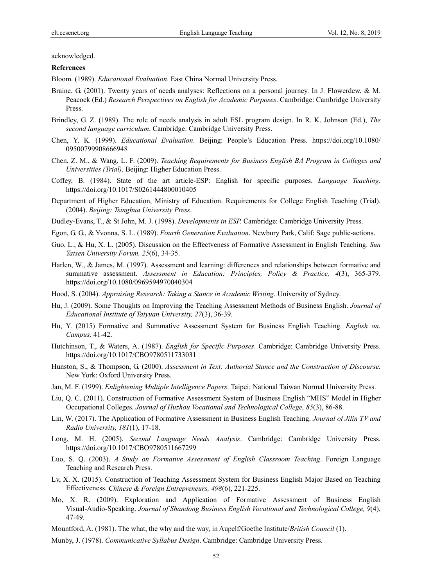acknowledged.

#### **References**

Bloom. (1989). *Educational Evaluation*. East China Normal University Press.

- Braine, G. (2001). Twenty years of needs analyses: Reflections on a personal journey. In J. Flowerdew, & M. Peacock (Ed.) *Research Perspectives on English for Academic Purposes*. Cambridge: Cambridge University Press.
- Brindley, G. Z. (1989). The role of needs analysis in adult ESL program design. In R. K. Johnson (Ed.), *The second language curriculum*. Cambridge: Cambridge University Press.
- Chen, Y. K. (1999). *Educational Evaluation*. Beijing: People's Education Press. https://doi.org/10.1080/ 09500799908666948
- Chen, Z. M., & Wang, L. F. (2009). *Teaching Requirements for Business English BA Program in Colleges and Universities (Trial)*. Beijing: Higher Education Press.
- Coffey, B. (1984). State of the art article-ESP: English for specific purposes. *Language Teaching.*  https://doi.org/10.1017/S0261444800010405
- Department of Higher Education, Ministry of Education. Requirements for College English Teaching (Trial). (2004). *Beijing: Tsinghua University Press*.
- Dudley-Evans, T., & St John, M. J. (1998). *Developments in ESP.* Cambridge: Cambridge University Press.
- Egon, G. G., & Yvonna, S. L. (1989). *Fourth Generation Evaluation*. Newbury Park, Calif: Sage public-actions.
- Guo, L., & Hu, X. L. (2005). Discussion on the Effectveness of Formative Assessment in English Teaching. *Sun Yatsen University Forum, 25*(6), 34-35.
- Harlen, W., & James, M. (1997). Assessment and learning: differences and relationships between formative and summative assessment. *Assessment in Education: Principles, Policy & Practice, 4*(3), 365-379. https://doi.org/10.1080/0969594970040304
- Hood, S. (2004). *Appraising Research: Taking a Stance in Academic Writing*. University of Sydney.
- Hu, J. (2009). Some Thoughts on Improving the Teaching Assessment Methods of Business English. *Journal of Educational Institute of Taiyuan University, 27*(3), 36-39.
- Hu, Y. (2015) Formative and Summative Assessment System for Business English Teaching. *English on. Campus,* 41-42.
- Hutchinson, T., & Waters, A. (1987). *English for Specific Purposes*. Cambridge: Cambridge University Press. https://doi.org/10.1017/CBO9780511733031
- Hunston, S., & Thompson, G. (2000). *Assessment in Text: Authorial Stance and the Construction of Discourse.*  New York: Oxford University Press.
- Jan, M. F. (1999). *Enlightening Multiple Intelligence Papers*. Taipei: National Taiwan Normal University Press.
- Liu, Q. C. (2011). Construction of Formative Assessment System of Business English "MHS" Model in Higher Occupational Colleges. *Journal of Huzhou Vocational and Technological College, 85*(3), 86-88.
- Lin, W. (2017). The Application of Formative Assessment in Business English Teaching. *Journal of Jilin TV and Radio University, 181*(1), 17-18.
- Long, M. H. (2005). *Second Language Needs Analysis*. Cambridge: Cambridge University Press. https://doi.org/10.1017/CBO9780511667299
- Luo, S. Q. (2003). *A Study on Formative Assessment of English Classroom Teaching*. Foreign Language Teaching and Research Press.
- Lv, X. X. (2015). Construction of Teaching Assessment System for Business English Major Based on Teaching Effectiveness. *Chinese & Foreign Entrepreneurs, 498*(6), 221-225.
- Mo, X. R. (2009). Exploration and Application of Formative Assessment of Business English Visual-Audio-Speaking. *Journal of Shandong Business English Vocational and Technological College, 9*(4), 47-49.
- Mountford, A. (1981). The what, the why and the way, in Aupelf/Goethe Institute/*British Council* (1).
- Munby, J. (1978). *Communicative Syllabus Design*. Cambridge: Cambridge University Press.